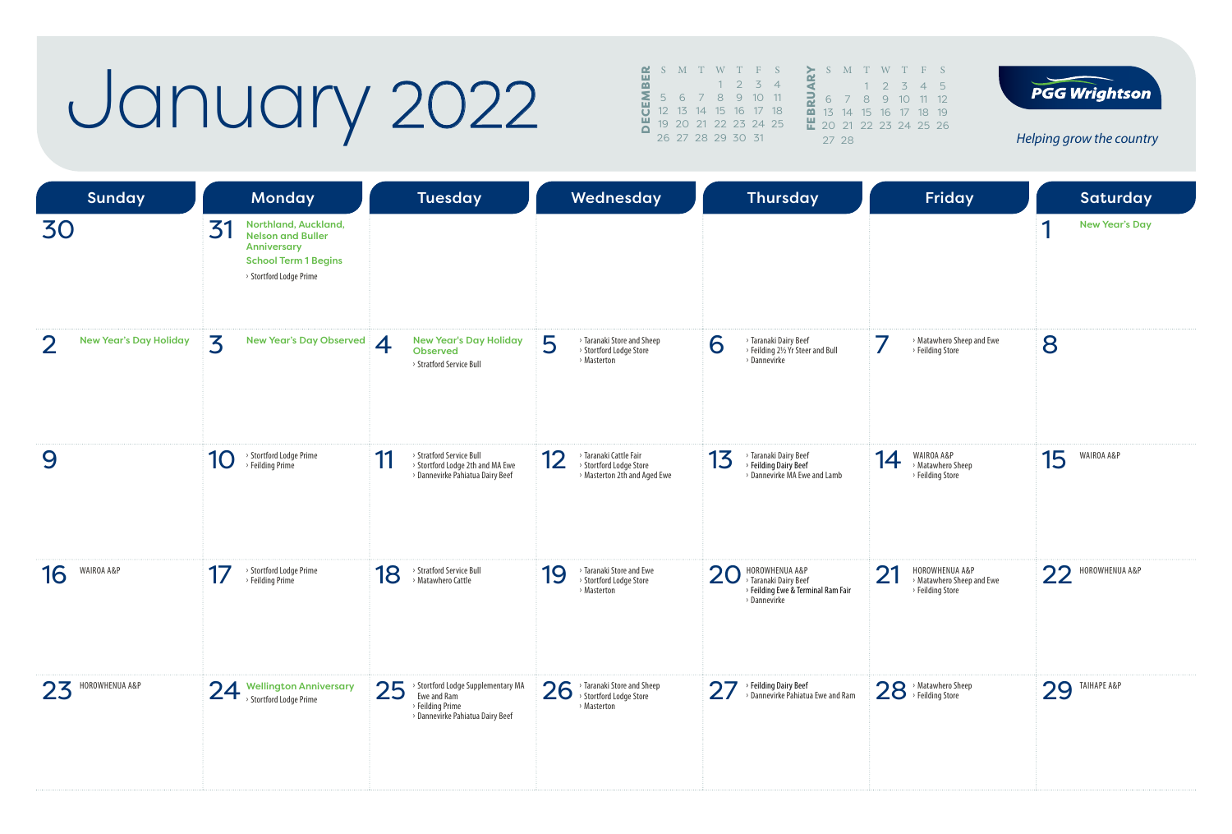## January 2022

| <u>~</u> |  |                   |             | S M T W T F S              |                          |                         | S.                   |               |
|----------|--|-------------------|-------------|----------------------------|--------------------------|-------------------------|----------------------|---------------|
| 쁢        |  |                   | $1 \t2 \t3$ |                            | $\overline{\mathcal{A}}$ |                         |                      |               |
| Σ        |  |                   |             | 5 6 7 8 9 10 11            |                          |                         | 6                    | J             |
|          |  |                   |             | 12  13  14  15  16  17  18 |                          | $\overline{\mathbf{m}}$ | 13 <sup>°</sup>      | $\mathbf{1}$  |
|          |  |                   |             | 19 20 21 22 23 24 25       |                          |                         | $\frac{11}{20}$ 20 2 |               |
|          |  | 26 27 28 29 30 31 |             |                            |                          |                         | 27                   | $\mathcal{P}$ |
|          |  |                   |             |                            |                          |                         |                      |               |

T W T F S  $1 2 3 4 5$ 8 9 10 11 12 15 16 17 18 19 1 22 23 24 25 26

**PGG Wrightson** 

| <b>Sunday</b>                                  | <b>Monday</b>                                                                                                                   | <b>Tuesday</b>                                                                                                | Wednesday                                                                               | <b>Thursday</b>                                                                                     | Friday                                                                | Saturday                     |
|------------------------------------------------|---------------------------------------------------------------------------------------------------------------------------------|---------------------------------------------------------------------------------------------------------------|-----------------------------------------------------------------------------------------|-----------------------------------------------------------------------------------------------------|-----------------------------------------------------------------------|------------------------------|
| 30                                             | Northland, Auckland,<br>31<br><b>Nelson and Buller</b><br>Anniversary<br><b>School Term 1 Begins</b><br>> Stortford Lodge Prime |                                                                                                               |                                                                                         |                                                                                                     |                                                                       | И<br><b>New Year's Day</b>   |
| $\mathcal{P}$<br><b>New Year's Day Holiday</b> | 3<br><b>New Year's Day Observed</b>                                                                                             | <b>New Year's Day Holiday</b><br>$\overline{4}$<br><b>Observed</b><br>> Stratford Service Bull                | 5<br>> Taranaki Store and Sheep<br>> Stortford Lodge Store<br>> Masterton               | 6<br>> Taranaki Dairy Beef<br>> Feilding 2½ Yr Steer and Bull<br>> Dannevirke                       | 7<br>> Matawhero Sheep and Ewe<br>> Feilding Store                    | 8                            |
| 9                                              | > Stortford Lodge Prime<br>10<br>> Feilding Prime                                                                               | 11<br>> Stratford Service Bull<br>> Stortford Lodge 2th and MA Ewe<br>> Dannevirke Pahiatua Dairy Beef        | > Taranaki Cattle Fair<br>12<br>> Stortford Lodge Store<br>> Masterton 2th and Aged Ewe | > Taranaki Dairy Beef<br>13<br>> Feilding Dairy Beef<br>> Dannevirke MA Ewe and Lamb                | WAIROA A&P<br>14<br>> Matawhero Sheep<br>> Feilding Store             | WAIROA A&P<br>15             |
| WAIROA A&P<br>16                               | > Stortford Lodge Prime<br>17<br>> Feilding Prime                                                                               | 18<br>> Stratford Service Bull<br>> Matawhero Cattle                                                          | > Taranaki Store and Ewe<br>19<br>> Stortford Lodge Store<br>> Masterton                | HOROWHENUA A&P<br>20<br>> Taranaki Dairy Beef<br>> Feilding Ewe & Terminal Ram Fair<br>> Dannevirke | 21<br>HOROWHENUA A&P<br>> Matawhero Sheep and Ewe<br>> Feilding Store | HOROWHENUA A&P<br>22         |
| HOROWHENUA A&P<br>23                           | <b>Wellington Anniversary</b><br>24<br>> Stortford Lodge Prime                                                                  | 25<br>Stortford Lodge Supplementary MA<br>Ewe and Ram<br>> Feilding Prime<br>> Dannevirke Pahiatua Dairy Beef | 26<br>> Taranaki Store and Sheep<br>> Stortford Lodge Store<br>> Masterton              | <b>7</b> → Feilding Dairy Beef<br>→ Dannevirke Pahiatua Ewe and Ram<br>27                           | 28 > Matawhero Sheep                                                  | <b>TAIHAPE A&amp;P</b><br>29 |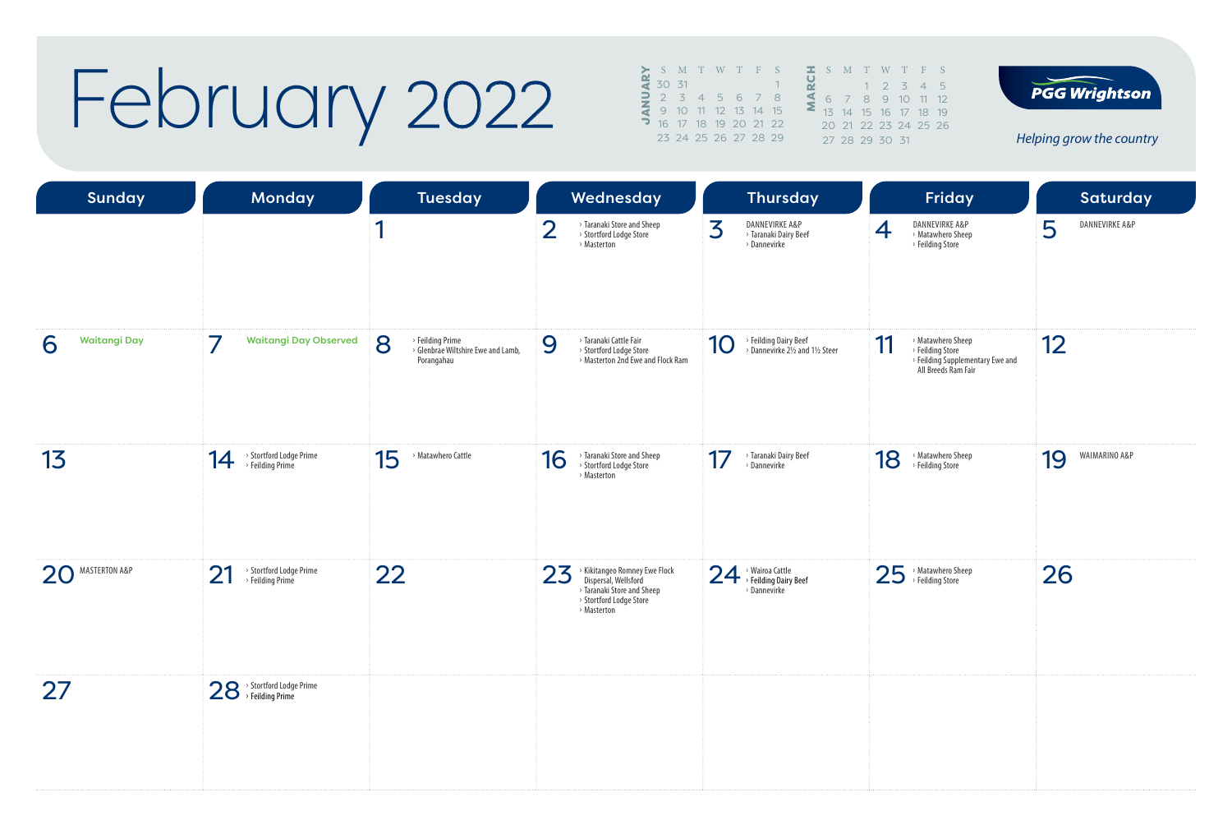### February 2022

|   | S M T W T F S       |  |                      |  |  | $\equiv$ S M |  |
|---|---------------------|--|----------------------|--|--|--------------|--|
|   | 30 31               |  |                      |  |  |              |  |
| = | $2 \times 3$        |  | 4 5 6 7 8            |  |  |              |  |
|   | 9 10 11 12 13 14 15 |  |                      |  |  | 13, 14       |  |
|   |                     |  | 16 17 18 19 20 21 22 |  |  | 20.21        |  |
|   |                     |  | 23 24 25 26 27 28 29 |  |  | 27 28        |  |
|   |                     |  |                      |  |  |              |  |





| <b>Sunday</b>            | Monday                                            | Tuesday                                                                   | Wednesday                                                                                                                           | Thursday                                                     | Friday                                                                                                 | Saturday            |
|--------------------------|---------------------------------------------------|---------------------------------------------------------------------------|-------------------------------------------------------------------------------------------------------------------------------------|--------------------------------------------------------------|--------------------------------------------------------------------------------------------------------|---------------------|
|                          |                                                   | 1                                                                         | $\overline{2}$<br>> Taranaki Store and Sheep<br>> Stortford Lodge Store<br>> Masterton                                              | 3<br>DANNEVIRKE A&P<br>> Taranaki Dairy Beef<br>> Dannevirke | DANNEVIRKE A&P<br>4<br>> Matawhero Sheep<br>> Feilding Store                                           | 5<br>DANNEVIRKE A&P |
| <b>Waitangi Day</b><br>6 | 7<br><b>Waitangi Day Observed</b>                 | 8<br>> Feilding Prime<br>> Glenbrae Wiltshire Ewe and Lamb,<br>Porangahau | > Taranaki Cattle Fair<br>9<br>> Stortford Lodge Store<br>> Masterton 2nd Ewe and Flock Ram                                         | > Feilding Dairy Beef<br>> Dannevirke 2½ and 1½ Steer<br>10  | > Matawhero Sheep<br>11<br>> Feilding Store<br>> Feilding Supplementary Ewe and<br>All Breeds Ram Fair | 12                  |
| 13                       | > Stortford Lodge Prime<br>14<br>> Feilding Prime | 15<br>> Matawhero Cattle                                                  | > Taranaki Store and Sheep<br>16<br>> Stortford Lodge Store<br>> Masterton                                                          | 17<br>> Taranaki Dairy Beef<br>> Dannevirke                  | > Matawhero Sheep<br>18<br>> Feilding Store                                                            | WAIMARINO A&P<br>19 |
| 20 MASTERTON A&P         | > Stortford Lodge Prime<br>21<br>> Feilding Prime | 22                                                                        | 23<br>> Kikitangeo Romney Ewe Flock<br>Dispersal, Wellsford<br>> Taranaki Store and Sheep<br>> Stortford Lodge Store<br>> Masterton | 24 > Wairoa Cattle<br>> Feilding Dairy Beef<br>> Dannevirke  | 25 > Matawhero Sheep                                                                                   | 26                  |
| 27                       | 28 > Stortford Lodge Prime                        |                                                                           |                                                                                                                                     |                                                              |                                                                                                        |                     |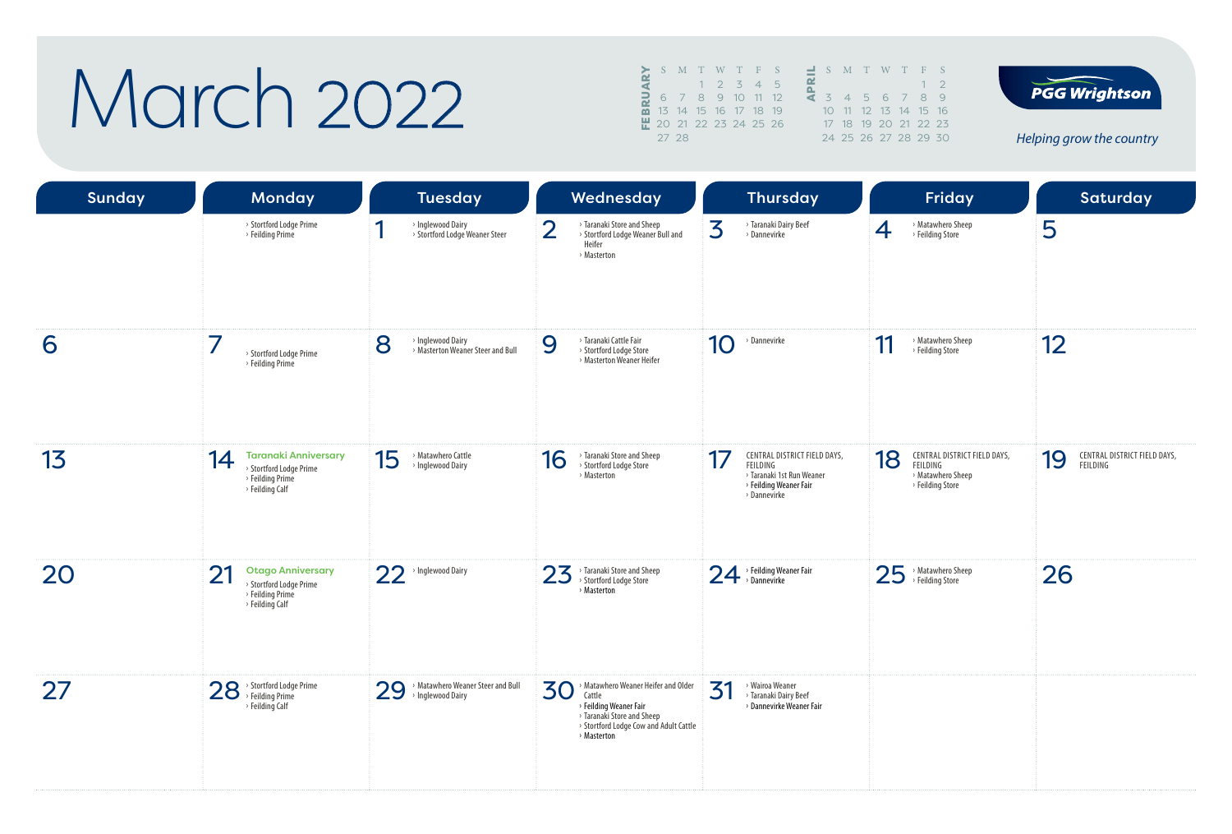### March 2022

|            |                               |  | S M T W T F S        |  | $\mathcal{S}$  |  |
|------------|-------------------------------|--|----------------------|--|----------------|--|
|            |                               |  | $1 \t2 \t3 \t4 \t5$  |  |                |  |
| <b>BRU</b> |                               |  | 6 7 8 9 10 11 12     |  | $\overline{z}$ |  |
|            |                               |  | 13 14 15 16 17 18 19 |  | 1 <sup>O</sup> |  |
|            | <u>뿐</u> 20 21 22 23 24 25 26 |  |                      |  | 17             |  |
|            | 27 28                         |  |                      |  | 24             |  |





| <b>Sunday</b> | <b>Monday</b>                                                                                       | <b>Tuesday</b>                                               | Wednesday                                                                                                                                                            | <b>Thursday</b>                                                                                                       | Friday                                                                                  | <b>Saturday</b>                                |
|---------------|-----------------------------------------------------------------------------------------------------|--------------------------------------------------------------|----------------------------------------------------------------------------------------------------------------------------------------------------------------------|-----------------------------------------------------------------------------------------------------------------------|-----------------------------------------------------------------------------------------|------------------------------------------------|
|               | > Stortford Lodge Prime<br>> Feilding Prime                                                         | ◀<br>> Inglewood Dairy<br>> Stortford Lodge Weaner Steer     | $\overline{2}$<br>> Taranaki Store and Sheep<br>> Stortford Lodge Weaner Bull and<br>Heifer<br>> Masterton                                                           | 3<br>> Taranaki Dairy Beef<br>> Dannevirke                                                                            | > Matawhero Sheep<br>$\overline{4}$<br>> Feilding Store                                 | 5                                              |
| 6             | 7<br>> Stortford Lodge Prime<br>> Feilding Prime                                                    | 8<br>> Inglewood Dairy<br>> Masterton Weaner Steer and Bull  | > Taranaki Cattle Fair<br>9<br>> Stortford Lodge Store<br>> Masterton Weaner Heifer                                                                                  | 10<br>> Dannevirke                                                                                                    | 11<br>> Matawhero Sheep<br>> Feilding Store                                             | 12                                             |
| 13            | <b>Taranaki Anniversary</b><br>14<br>> Stortford Lodge Prime<br>> Feilding Prime<br>> Feilding Calf | 15<br>> Matawhero Cattle<br>> Inglewood Dairy                | > Taranaki Store and Sheep<br>16<br>> Stortford Lodge Store<br>> Masterton                                                                                           | CENTRAL DISTRICT FIELD DAYS,<br>17<br>FEILDING<br>> Taranaki 1st Run Weaner<br>> Feilding Weaner Fair<br>> Dannevirke | 18<br>CENTRAL DISTRICT FIELD DAYS,<br>FEILDING<br>> Matawhero Sheep<br>> Feilding Store | CENTRAL DISTRICT FIELD DAYS,<br>19<br>FEILDING |
| 20            | 21<br><b>Otago Anniversary</b><br>> Stortford Lodge Prime<br>> Feilding Prime<br>> Feilding Calf    | 22<br>> Inglewood Dairy                                      | > Taranaki Store and Sheep<br>23<br>> Stortford Lodge Store<br>> Masterton                                                                                           | 24 > Feilding Weaner Fair                                                                                             | 25<br>> Matawhero Sheep<br>> Feilding Store                                             | 26                                             |
| 27            | 28 > Stortford Lodge Prime<br>> Feilding Calf                                                       | > Matawhero Weaner Steer and Bull<br>29<br>> Inglewood Dairy | 30<br>> Matawhero Weaner Heifer and Older<br>Cattle<br>> Feilding Weaner Fair<br>> Taranaki Store and Sheep<br>> Stortford Lodge Cow and Adult Cattle<br>> Masterton | 31<br>> Wairoa Weaner<br>> Taranaki Dairy Beef<br>> Dannevirke Weaner Fair                                            |                                                                                         |                                                |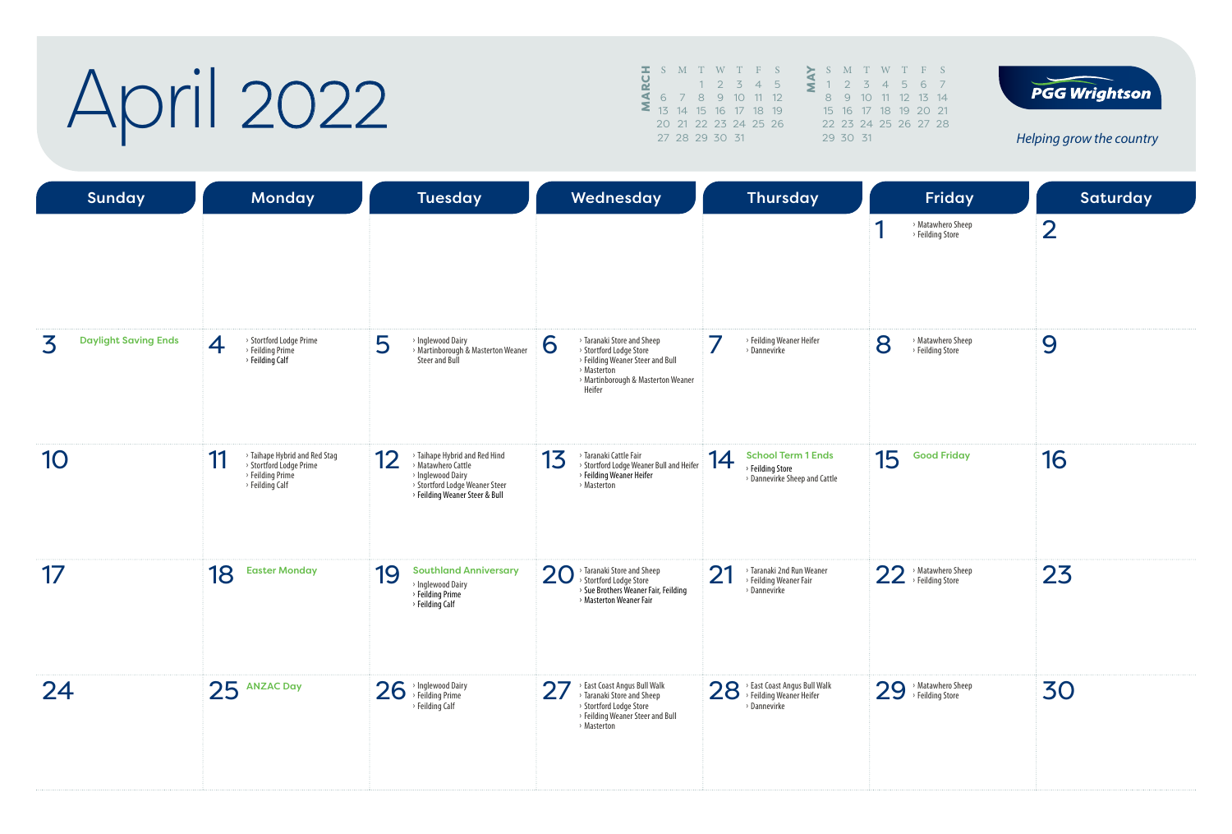## April 2022

|  |  |                | S M T W T F S        |      |   |    |
|--|--|----------------|----------------------|------|---|----|
|  |  |                | $1 \t2 \t3 \t4$      | $-5$ | 5 |    |
|  |  |                | 6 7 8 9 10 11 12     |      |   |    |
|  |  |                | 13 14 15 16 17 18 19 |      |   | 15 |
|  |  |                | 20 21 22 23 24 25 26 |      |   | フフ |
|  |  | 27 28 29 30 31 |                      |      |   |    |
|  |  |                |                      |      |   |    |





| Sunday                           | <b>Monday</b>                                                                                                     | <b>Tuesday</b>                                                                                                                                     | Wednesday                                                                                                                                                     | <b>Thursday</b>                                                                      | Friday                                      | Saturday       |
|----------------------------------|-------------------------------------------------------------------------------------------------------------------|----------------------------------------------------------------------------------------------------------------------------------------------------|---------------------------------------------------------------------------------------------------------------------------------------------------------------|--------------------------------------------------------------------------------------|---------------------------------------------|----------------|
|                                  |                                                                                                                   |                                                                                                                                                    |                                                                                                                                                               |                                                                                      | > Matawhero Sheep<br>> Feilding Store       | $\overline{2}$ |
| <b>Daylight Saving Ends</b><br>3 | > Stortford Lodge Prime<br>4<br>> Feilding Prime<br>> Feilding Calf                                               | 5<br>> Inglewood Dairy<br>> Martinborough & Masterton Weaner<br>Steer and Bull                                                                     | > Taranaki Store and Sheep<br>6<br>> Stortford Lodge Store<br>> Feilding Weaner Steer and Bull<br>> Masterton<br>> Martinborough & Masterton Weaner<br>Heifer | 7<br>> Feilding Weaner Heifer<br>> Dannevirke                                        | 8<br>> Matawhero Sheep<br>> Feilding Store  | 9              |
| 10                               | > Taihape Hybrid and Red Stag<br>11<br>> Stortford Lodge Prime<br>$\rightarrow$ Feilding Prime<br>> Feilding Calf | 12<br>> Taihape Hybrid and Red Hind<br>> Matawhero Cattle<br>> Inglewood Dairy<br>> Stortford Lodge Weaner Steer<br>> Feilding Weaner Steer & Bull | 13<br>> Taranaki Cattle Fair<br>> Stortford Lodge Weaner Bull and Heifer<br>> Feilding Weaner Heifer<br>> Masterton                                           | <b>School Term 1 Ends</b><br>14<br>> Feilding Store<br>> Dannevirke Sheep and Cattle | 15<br><b>Good Friday</b>                    | 16             |
| 17                               | 18<br><b>Easter Monday</b>                                                                                        | 19<br><b>Southland Anniversary</b><br>> Inglewood Dairy<br>> Feilding Prime<br>> Feilding Calf                                                     | > Taranaki Store and Sheep<br>20<br>> Stortford Lodge Store<br>> Sue Brothers Weaner Fair, Feilding<br>> Masterton Weaner Fair                                | > Taranaki 2nd Run Weaner<br>21<br>> Feilding Weaner Fair<br>> Dannevirke            | 22 > Matawhero She<br>> Matawhero Sheep     | 23             |
| 24                               | 25 ANZAC Day                                                                                                      | 26<br>> Inglewood Dairy<br>> Feilding Prime<br>> Feilding Calf                                                                                     | 27<br>> East Coast Angus Bull Walk<br>> Taranaki Store and Sheep<br>> Stortford Lodge Store<br>> Feilding Weaner Steer and Bull<br>> Masterton                | 28 > East Coast Angus Bull Walk<br>> Dannevirke                                      | 29<br>> Matawhero Sheep<br>> Feilding Store | 30             |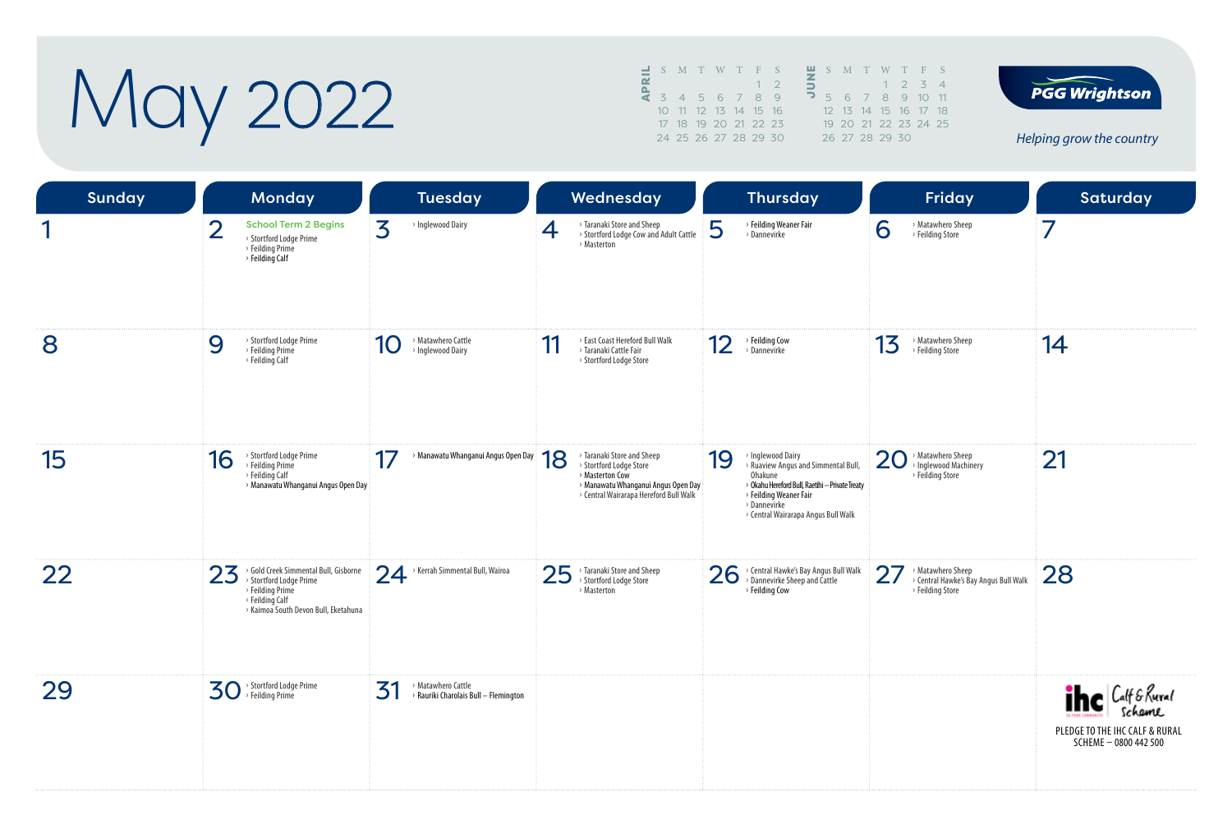May 2022

|  |  | $\blacksquare$ S M T W T F S |  |            |              | $\blacksquare$ S M T W T F S           |  |                 |  |
|--|--|------------------------------|--|------------|--------------|----------------------------------------|--|-----------------|--|
|  |  |                              |  | $1\quad 2$ |              |                                        |  | $1 \t2 \t3 \t4$ |  |
|  |  | 4 3 4 5 6 7 8 9              |  |            | $\mathbf{r}$ | 5 6 7 8 9 10 11                        |  |                 |  |
|  |  | 10 11 12 13 14 15 16         |  |            |              | 12    13    14    15    16    17    18 |  |                 |  |
|  |  | 17 18 19 20 21 22 23         |  |            |              | 19 20 21 22 23 24 25                   |  |                 |  |
|  |  | 24 25 26 27 28 29 30         |  |            |              | 26 27 28 29 30                         |  |                 |  |



| <b>Sunday</b> | <b>Monday</b>                                                                                                                                         | <b>Tuesday</b>                                                    | Wednesday                                                                                                                                                       | <b>Thursday</b>                                                                                                                                                                                               | Friday                                                                             | Saturday                                                                               |
|---------------|-------------------------------------------------------------------------------------------------------------------------------------------------------|-------------------------------------------------------------------|-----------------------------------------------------------------------------------------------------------------------------------------------------------------|---------------------------------------------------------------------------------------------------------------------------------------------------------------------------------------------------------------|------------------------------------------------------------------------------------|----------------------------------------------------------------------------------------|
|               | <b>School Term 2 Begins</b><br>> Stortford Lodge Prime<br>> Feilding Prime<br>> Feilding Calf                                                         | 3<br>> Inglewood Dairy                                            | > Taranaki Store and Sheep<br>4<br>> Stortford Lodge Cow and Adult Cattle<br>> Masterton                                                                        | 5<br>> Feilding Weaner Fair<br>> Dannevirke                                                                                                                                                                   | > Matawhero Sheep<br>6<br>> Feilding Store                                         | $\overline{7}$                                                                         |
| 8             | > Stortford Lodge Prime<br>9<br>> Feilding Prime<br>> Feilding Calf                                                                                   | > Matawhero Cattle<br>10<br>> Inglewood Dairy                     | > East Coast Hereford Bull Walk<br>11<br>> Taranaki Cattle Fair<br>> Stortford Lodge Store                                                                      | 12<br>> Feilding Cow<br>> Dannevirke                                                                                                                                                                          | > Matawhero Sheep<br>13<br>> Feilding Store                                        | 14                                                                                     |
| 15            | > Stortford Lodge Prime<br>16<br>> Feilding Prime<br>> Feilding Calf<br>> Manawatu Whanganui Angus Open Day                                           | 17<br>> Manawatu Whanganui Angus Open Day                         | > Taranaki Store and Sheep<br>18<br>> Stortford Lodge Store<br>> Masterton Cow<br>> Manawatu Whanganui Angus Open Day<br>> Central Wairarapa Hereford Bull Walk | > Inglewood Dairy<br>19<br>> Ruaview Angus and Simmental Bull,<br>Ohakune<br>> Okahu Hereford Bull, Raetihi - Private Treaty<br>> Feilding Weaner Fair<br>> Dannevirke<br>> Central Wairarapa Angus Bull Walk | 20 > Matawhero Sheep<br>> Inglewood Machinery<br>> Feilding Store                  | 21                                                                                     |
| 22            | > Gold Creek Simmental Bull, Gisborne<br>23<br>> Stortford Lodge Prime<br>> Feilding Prime<br>> Feilding Calf<br>> Kaimoa South Devon Bull, Eketahuna | 24<br>> Kerrah Simmental Bull, Wairoa                             | 25<br>> Taranaki Store and Sheep<br>> Stortford Lodge Store<br>> Masterton                                                                                      | > Central Hawke's Bay Angus Bull Walk<br>26<br>> Dannevirke Sheep and Cattle<br>> Feilding Cow                                                                                                                | 27<br>Matawhero Sheep<br>> Central Hawke's Bay Angus Bull Walk<br>> Feilding Store | 28                                                                                     |
| 29            | $\mathbf{3O}$ <sup>&gt;</sup> Stortford Lodge Prime                                                                                                   | 31<br>> Matawhero Cattle<br>> Rauriki Charolais Bull - Flemington |                                                                                                                                                                 |                                                                                                                                                                                                               |                                                                                    | <b>The Calf &amp; Rural</b><br>PLEDGE TO THE IHC CALF & RURAL<br>SCHEME - 0800 442 500 |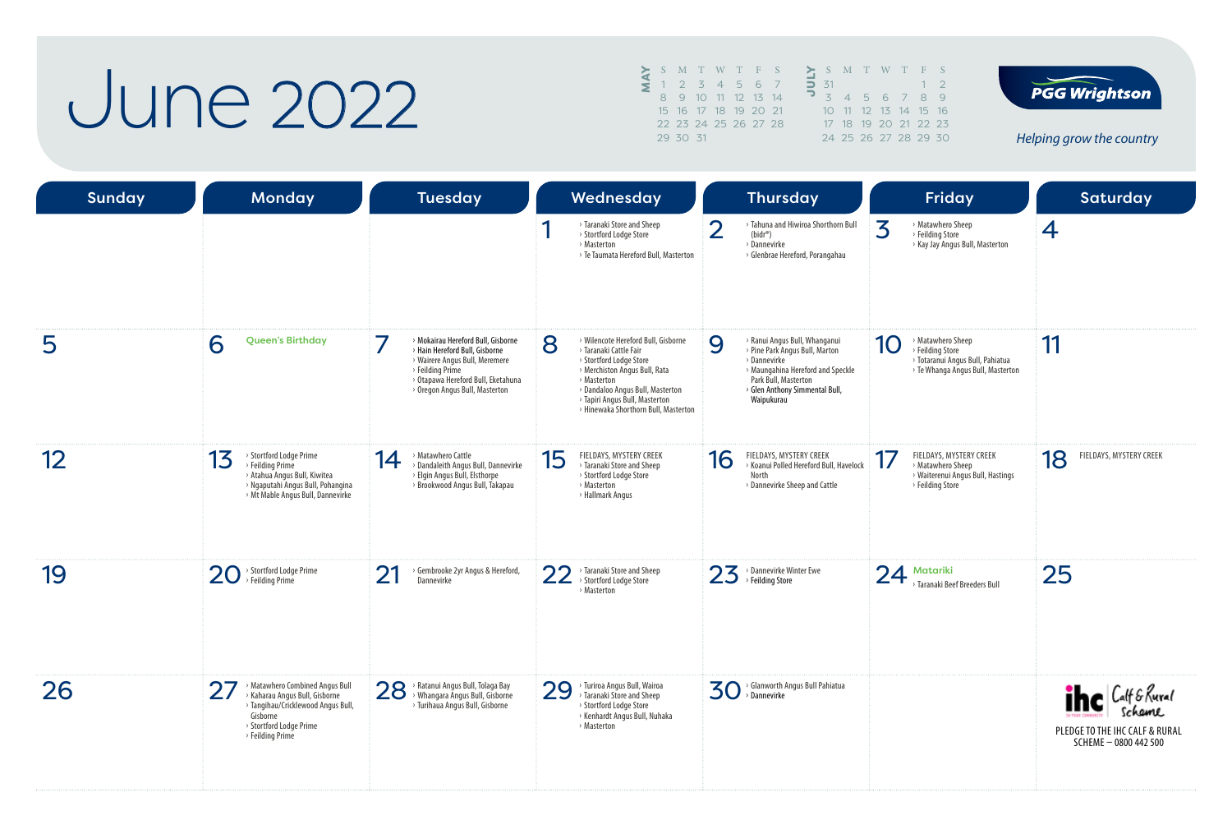#### **June 2022**

S M T W T F S<br>
1 2 3 4 5 6 7 8 9 10 11 12 13 14 15 16 17 18 19 20 21 22 23 24 25 26 27 28 29 30 31

|                   |  | S M T W T F S        |  |              |
|-------------------|--|----------------------|--|--------------|
| $\overline{5}$ 31 |  |                      |  | $1 \sqrt{2}$ |
|                   |  | 3 4 5 6 7 8 9        |  |              |
|                   |  | 10 11 12 13 14 15 16 |  |              |
|                   |  | 17 18 19 20 21 22 23 |  |              |
|                   |  | 24 25 26 27 28 29 30 |  |              |



| <b>Sunday</b>   | <b>Monday</b>                                                                                                                                                    | <b>Tuesday</b>                                                                                                                                                                                                        | Wednesday                                                                                                                                                                                                                                                   | <b>Thursday</b>                                                                                                                                                                                   | Friday                                                                                                               | <b>Saturday</b>                                                                        |
|-----------------|------------------------------------------------------------------------------------------------------------------------------------------------------------------|-----------------------------------------------------------------------------------------------------------------------------------------------------------------------------------------------------------------------|-------------------------------------------------------------------------------------------------------------------------------------------------------------------------------------------------------------------------------------------------------------|---------------------------------------------------------------------------------------------------------------------------------------------------------------------------------------------------|----------------------------------------------------------------------------------------------------------------------|----------------------------------------------------------------------------------------|
|                 |                                                                                                                                                                  |                                                                                                                                                                                                                       | > Taranaki Store and Sheep<br>> Stortford Lodge Store<br>> Masterton<br>> Te Taumata Hereford Bull, Masterton                                                                                                                                               | $\overline{2}$<br>> Tahuna and Hiwiroa Shorthorn Bull<br>$(bidr^*)$<br>> Dannevirke<br>> Glenbrae Hereford, Porangahau                                                                            | 3<br>> Matawhero Sheep<br>> Feilding Store<br>> Kay Jay Angus Bull, Masterton                                        | 4                                                                                      |
| 5               | <b>Queen's Birthday</b><br>6                                                                                                                                     | 7<br>> Mokairau Hereford Bull, Gisborne<br>> Hain Hereford Bull, Gisborne<br>> Wairere Angus Bull, Meremere<br>> Feilding Prime<br>> Otapawa Hereford Bull, Eketahuna<br><sup>&gt;</sup> Oregon Angus Bull, Masterton | 8<br>> Wilencote Hereford Bull, Gisborne<br>> Taranaki Cattle Fair<br>> Stortford Lodge Store<br>> Merchiston Angus Bull, Rata<br>> Masterton<br>> Dandaloo Angus Bull, Masterton<br>> Tapiri Angus Bull, Masterton<br>> Hinewaka Shorthorn Bull, Masterton | 9<br>> Ranui Angus Bull, Whanganui<br>> Pine Park Angus Bull, Marton<br>> Dannevirke<br>> Maungahina Hereford and Speckle<br>Park Bull, Masterton<br>> Glen Anthony Simmental Bull,<br>Waipukurau | > Matawhero Sheep<br>10<br>> Feilding Store<br>> Totaranui Angus Bull, Pahiatua<br>> Te Whanga Angus Bull, Masterton | 11                                                                                     |
| 12 <sup>2</sup> | > Stortford Lodge Prime<br>13<br>> Feilding Prime<br>> Atahua Angus Bull, Kiwitea<br>> Ngaputahi Angus Bull, Pohangina<br>> Mt Mable Angus Bull, Dannevirke      | > Matawhero Cattle<br>14<br>> Dandaleith Angus Bull, Dannevirke<br>> Elgin Angus Bull, Elsthorpe<br>> Brookwood Angus Bull, Takapau                                                                                   | FIELDAYS, MYSTERY CREEK<br>15<br>> Taranaki Store and Sheep<br>> Stortford Lodge Store<br>> Masterton<br>> Hallmark Angus                                                                                                                                   | FIELDAYS, MYSTERY CREEK<br>16<br>> Koanui Polled Hereford Bull, Havelock<br>North<br>> Dannevirke Sheep and Cattle                                                                                | FIELDAYS, MYSTERY CREEK<br>17<br>> Matawhero Sheep<br>> Waiterenui Angus Bull, Hastings<br>> Feilding Store          | 18<br>FIELDAYS, MYSTERY CREEK                                                          |
| 19              | $\rightarrow$ Stortford Lodge Prime<br>20<br>> Feilding Prime                                                                                                    | 21<br>Gembrooke 2yr Angus & Hereford,<br>Dannevirke                                                                                                                                                                   | 22<br>> Taranaki Store and Sheep<br>> Stortford Lodge Store<br>> Masterton                                                                                                                                                                                  | $23$ <sup>&gt;</sup> Dannevirke Winter Ewe                                                                                                                                                        | 24<br>Matariki<br>> Taranaki Beef Breeders Bull                                                                      | 25                                                                                     |
| 26              | Matawhero Combined Angus Bull<br>> Kaharau Angus Bull, Gisborne<br>> Tangihau/Cricklewood Angus Bull,<br>Gisborne<br>> Stortford Lodge Prime<br>> Feilding Prime | 28 > Ratanui Angus Bull, Tolaga Bay<br>> Whangara Angus Bull, Gisborne<br>> Turihaua Angus Bull, Gisborne                                                                                                             | 29<br>> Turiroa Angus Bull, Wairoa<br>> Taranaki Store and Sheep<br>> Stortford Lodge Store<br>> Kenhardt Angus Bull, Nuhaka<br>> Masterton                                                                                                                 | > Glanworth Angus Bull Pahiatua<br>$\mathbf{30}$ $\rightarrow$ Glanworth A                                                                                                                        |                                                                                                                      | <b>The Calf &amp; Rural</b><br>PLEDGE TO THE IHC CALF & RURAL<br>SCHEME - 0800 442 500 |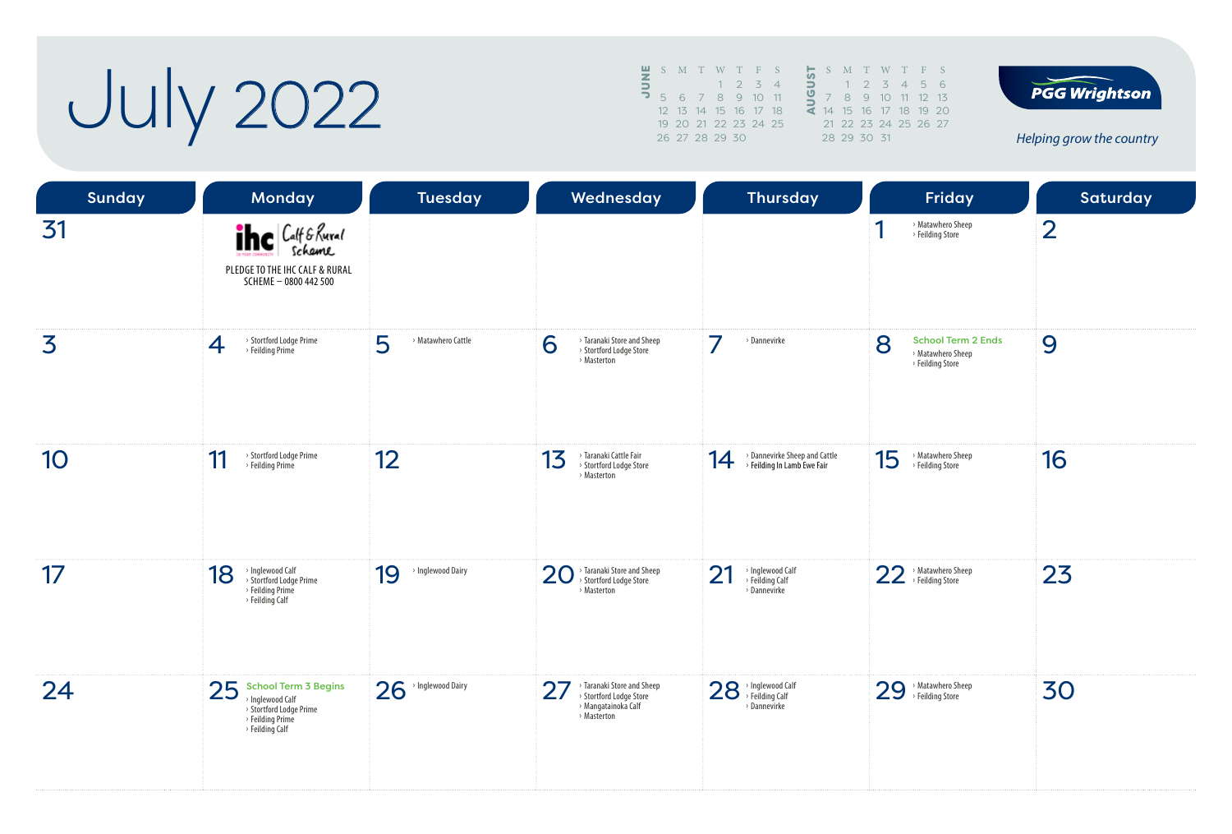# July 2022

|        | S M T W T F S        |  |             |          |               | S | M         |
|--------|----------------------|--|-------------|----------|---------------|---|-----------|
| $\leq$ |                      |  | $1 \t2 \t3$ | $\Delta$ | $\Rightarrow$ |   |           |
|        | 5 6 7 8 9 10 11      |  |             |          |               |   | 8         |
|        | 12 13 14 15 16 17 18 |  |             |          | <b>d</b>      |   | 14 15     |
|        | 19 20 21 22 23 24 25 |  |             |          |               |   | $21 \t22$ |
|        | 26 27 28 29 30       |  |             |          |               |   | 28 29     |
|        |                      |  |             |          |               |   |           |





| <b>Sunday</b> | <b>Monday</b>                                                                                                   | Tuesday                 | Wednesday                                                                                         | <b>Thursday</b>                                                    | Friday                                                                  | Saturday       |
|---------------|-----------------------------------------------------------------------------------------------------------------|-------------------------|---------------------------------------------------------------------------------------------------|--------------------------------------------------------------------|-------------------------------------------------------------------------|----------------|
| 31            | <b>The Calf &amp; Rural</b><br>PLEDGE TO THE IHC CALF & RURAL<br>SCHEME - 0800 442 500                          |                         |                                                                                                   |                                                                    | > Matawhero Sheep<br>> Feilding Store                                   | $\overline{2}$ |
| 3             | > Stortford Lodge Prime<br>4<br>> Feilding Prime                                                                | 5<br>> Matawhero Cattle | > Taranaki Store and Sheep<br>6<br>> Stortford Lodge Store<br>> Masterton                         | 7<br>> Dannevirke                                                  | 8<br><b>School Term 2 Ends</b><br>> Matawhero Sheep<br>> Feilding Store | 9              |
| 10            | > Stortford Lodge Prime<br>11<br>> Feilding Prime                                                               | 12                      | > Taranaki Cattle Fair<br>13<br>> Stortford Lodge Store<br>> Masterton                            | > Dannevirke Sheep and Cattle<br>14<br>> Feilding In Lamb Ewe Fair | 15<br>> Matawhero Sheep<br>> Feilding Store                             | 16             |
| 17            | > Inglewood Calf<br>> Stortford Lodge Prime<br>18<br>> Feilding Prime<br>> Feilding Calf                        | > Inglewood Dairy<br>19 | > Taranaki Store and Sheep<br>20<br>> Stortford Lodge Store<br>> Masterton                        | > Inglewood Calf<br>> Feilding Calf<br>21<br>> Dannevirke          | 22 <sup>&gt; Matawhero Sheep</sup>                                      | 23             |
| 24            | $25$ School Term 3 Begins<br>> Inglewood Calf<br>> Stortford Lodge Prime<br>> Feilding Prime<br>> Feilding Calf | 26<br>> Inglewood Dairy | > Taranaki Store and Sheep<br>27<br>> Stortford Lodge Store<br>> Mangatainoka Calf<br>> Masterton | 28 > Inglewood Calf<br>> Dannevirke                                | 29 > Matawhero Sheep                                                    | 30             |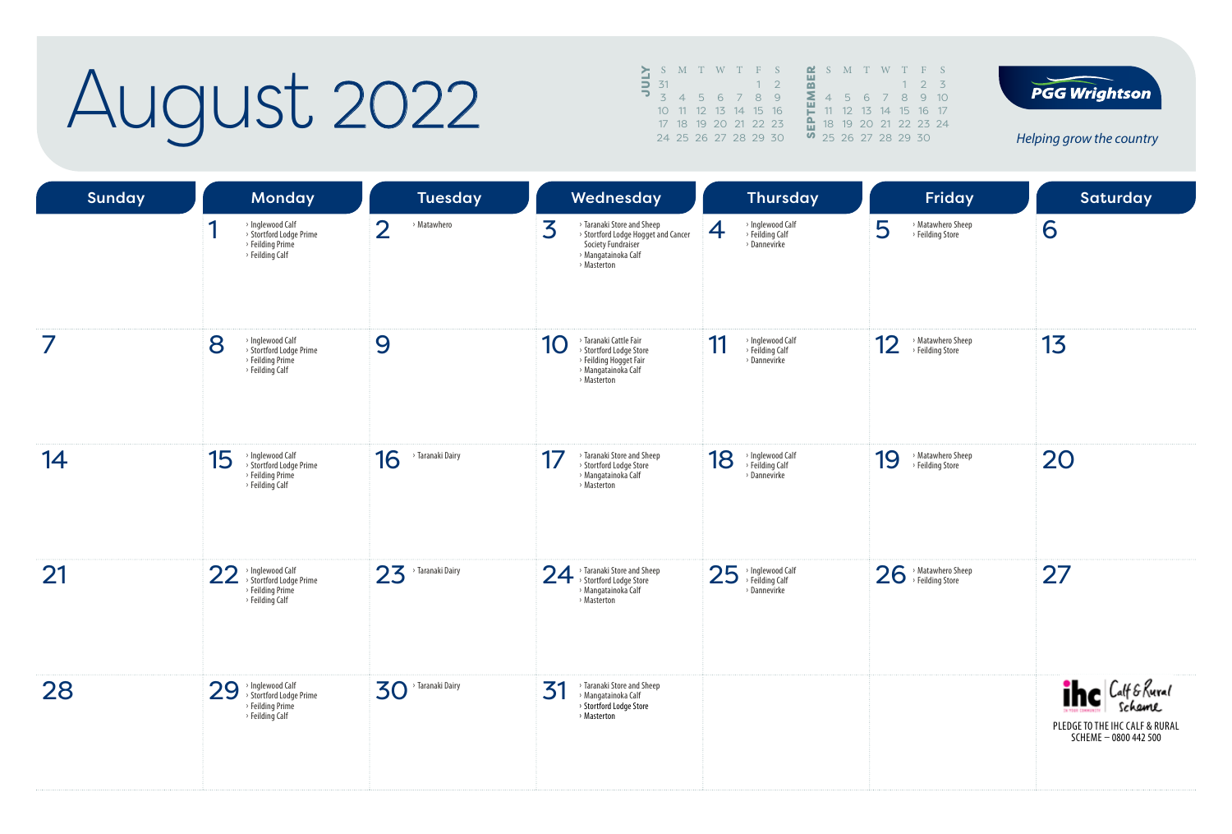### August 2022

|               | S M T W T F S  |  |                      |    |  |  | $\mathbf{r}$ s m $\mathbf{r}$ |  |
|---------------|----------------|--|----------------------|----|--|--|-------------------------------|--|
| $\Rightarrow$ | $-31$          |  |                      | 17 |  |  |                               |  |
|               | $\overline{z}$ |  | 4 5 6 7 8 9          |    |  |  | 456                           |  |
|               |                |  | 10 11 12 13 14 15 16 |    |  |  | 11 12 13                      |  |
|               |                |  | 17 18 19 20 21 22 23 |    |  |  | 18 19 20                      |  |
|               |                |  | 24 25 26 27 28 29 30 |    |  |  | 9, 25, 26, 27                 |  |
|               |                |  |                      |    |  |  |                               |  |





| <b>Sunday</b> | <b>Monday</b>                                                                            | <b>Tuesday</b>                       | Wednesday                                                                                                                          | <b>Thursday</b>                                           | Friday                                      | Saturday                                                                               |
|---------------|------------------------------------------------------------------------------------------|--------------------------------------|------------------------------------------------------------------------------------------------------------------------------------|-----------------------------------------------------------|---------------------------------------------|----------------------------------------------------------------------------------------|
|               | > Inglewood Calf<br>> Stortford Lodge Prime<br>> Feilding Prime<br>> Feilding Calf       | $\overline{2}$<br>> Matawhero        | 3<br>> Taranaki Store and Sheep<br>> Stortford Lodge Hogget and Cancer<br>Society Fundraiser<br>> Mangatainoka Calf<br>> Masterton | > Inglewood Calf<br>> Feilding Calf<br>4<br>> Dannevirke  | 5<br>> Matawhero Sheep<br>> Feilding Store  | 6                                                                                      |
| 7             | 8<br>> Inglewood Calf<br>> Stortford Lodge Prime<br>> Feilding Prime<br>> Feilding Calf  | 9                                    | > Taranaki Cattle Fair<br>10<br>> Stortford Lodge Store<br>> Feilding Hogget Fair<br>> Mangatainoka Calf<br>> Masterton            | 11<br>> Inglewood Calf<br>> Feilding Calf<br>> Dannevirke | 12<br>> Matawhero Sheep<br>> Feilding Store | 13                                                                                     |
| 14            | 15<br>> Inglewood Calf<br>> Stortford Lodge Prime<br>> Feilding Prime<br>> Feilding Calf | 16<br><sup>&gt;</sup> Taranaki Dairy | > Taranaki Store and Sheep<br>17<br>> Stortford Lodge Store<br>> Mangatainoka Calf<br>> Masterton                                  | > Inglewood Calf<br>> Feilding Calf<br>18<br>> Dannevirke | 19<br>> Matawhero Sheep<br>> Feilding Store | 20                                                                                     |
| 21            | 22 > Inglewood Calf<br>> Stortford Lodge Prime<br>> Feilding Prime<br>> Feilding Calf    | 23<br>> Taranaki Dairy               | 24 > Taranaki Store and Sheep<br>> Mangatainoka Calf<br>> Masterton                                                                | 25<br>> Inglewood Calf<br>> Feilding Calf<br>> Dannevirke | 26 > Matawhero She<br>> Matawhero Sheep     | 27                                                                                     |
| 28            | > Inglewood Calf<br>> Stortford Lodge Prime<br>29<br>> Feilding Prime<br>> Feilding Calf | > Taranaki Dairy<br>30               | > Taranaki Store and Sheep<br>31<br>> Mangatainoka Calf<br>> Stortford Lodge Store<br>> Masterton                                  |                                                           |                                             | <b>The Calf &amp; Rural</b><br>PLEDGE TO THE IHC CALF & RURAL<br>SCHEME - 0800 442 500 |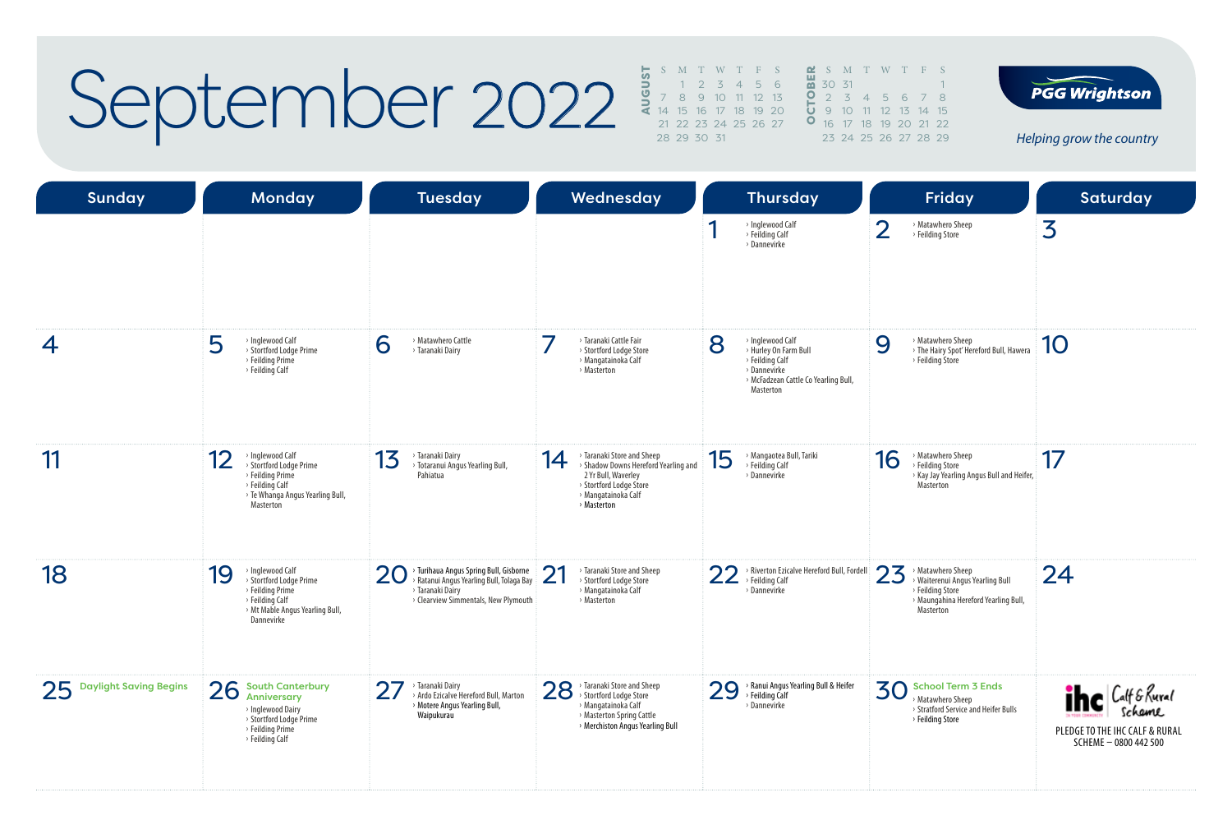### September 2022

|  | S M T W T F S           |  |                       | <b>M</b> S M T W T F S             |  |  |  |
|--|-------------------------|--|-----------------------|------------------------------------|--|--|--|
|  | $1 \t2 \t3 \t4 \t5 \t6$ |  | $\frac{10}{20}$ 30 31 |                                    |  |  |  |
|  | 7 8 9 10 11 12 13       |  |                       | 0 2 3 4 5 6 7 8                    |  |  |  |
|  | 14 15 16 17 18 19 20    |  |                       | $\overline{0}$ 9 10 11 12 13 14 15 |  |  |  |
|  | 21 22 23 24 25 26 27    |  |                       | <b>0</b> 16 17 18 19 20 21 21      |  |  |  |
|  | 28 29 30 31             |  |                       | 23 24 25 26 27 28 29               |  |  |  |
|  |                         |  |                       |                                    |  |  |  |

5 6 7 8 12 13 14 15 19 20 21 22 23 24 25 26 27 28 29



| Sunday                    | <b>Monday</b>                                                                                                                              | <b>Tuesday</b>                                                                                                                                      | Wednesday                                                                                                                                                        | <b>Thursday</b>                                                                                                                                    | <b>Friday</b>                                                                                                                        | <b>Saturday</b>                                                                        |
|---------------------------|--------------------------------------------------------------------------------------------------------------------------------------------|-----------------------------------------------------------------------------------------------------------------------------------------------------|------------------------------------------------------------------------------------------------------------------------------------------------------------------|----------------------------------------------------------------------------------------------------------------------------------------------------|--------------------------------------------------------------------------------------------------------------------------------------|----------------------------------------------------------------------------------------|
|                           |                                                                                                                                            |                                                                                                                                                     |                                                                                                                                                                  | > Inglewood Calf<br>> Feilding Calf<br>> Dannevirke                                                                                                | $\overline{2}$<br>> Matawhero Sheep<br>> Feilding Store                                                                              | 3                                                                                      |
| 4                         | 5<br>> Inglewood Calf<br>> Stortford Lodge Prime<br>> Feilding Prime<br>> Feilding Calf                                                    | 6<br>> Matawhero Cattle<br>> Taranaki Dairy                                                                                                         | > Taranaki Cattle Fair<br>> Stortford Lodge Store<br>> Mangatainoka Calf<br>> Masterton                                                                          | 8<br>$\rightarrow$ Inglewood Calf<br>> Hurley On Farm Bull<br>> Feilding Calf<br>> Dannevirke<br>> McFadzean Cattle Co Yearling Bull,<br>Masterton | > Matawhero Sheep<br>9<br>> The Hairy Spot' Hereford Bull, Hawera<br>> Feilding Store                                                | 10                                                                                     |
| 11                        | > Inglewood Calf<br>12<br>> Stortford Lodge Prime<br>> Feilding Prime<br>> Feilding Calf<br>> Te Whanga Angus Yearling Bull,<br>Masterton  | 13<br><sup>&gt;</sup> Taranaki Dairy<br>> Totaranui Angus Yearling Bull,<br>Pahiatua                                                                | > Taranaki Store and Sheep<br>14<br>> Shadow Downs Hereford Yearling and<br>2 Yr Bull, Waverley<br>> Stortford Lodge Store<br>> Mangatainoka Calf<br>> Masterton | > Mangaotea Bull, Tariki<br>15<br>> Feilding Calf<br>> Dannevirke                                                                                  | > Matawhero Sheep<br>16<br>> Feilding Store<br>> Kay Jay Yearling Angus Bull and Heifer,<br>Masterton                                | 17                                                                                     |
| 18                        | > Inglewood Calf<br>19<br>> Stortford Lodge Prime<br>> Feilding Prime<br>> Feilding Calf<br>> Mt Mable Angus Yearling Bull,<br>Dannevirke  | > Turihaua Angus Spring Bull, Gisborne<br>20<br>Ratanui Angus Yearling Bull, Tolaga Bay<br>> Taranaki Dairy<br>> Clearview Simmentals, New Plymouth | <b>つ1</b><br>> Taranaki Store and Sheep<br>$\angle$<br>> Stortford Lodge Store<br>> Mangatainoka Calf<br>> Masterton                                             | > Riverton Ezicalve Hereford Bull, Fordell<br>22<br>> Feilding Calf<br>> Dannevirke                                                                | 23<br>> Matawhero Sheep<br>> Waiterenui Angus Yearling Bull<br>> Feilding Store<br>> Maungahina Hereford Yearling Bull,<br>Masterton | 24                                                                                     |
| 25 Daylight Saving Begins | 26<br><b>South Canterbury</b><br><b>Anniversary</b><br>> Inglewood Dairy<br>> Stortford Lodge Prime<br>> Feilding Prime<br>> Feilding Calf | 27<br>Taranaki Dairy<br>Ardo Ezicalve Hereford Bull, Marton<br>> Motere Angus Yearling Bull,<br>Waipukurau                                          | 28 > Taranaki Store and Sheep<br>> Stortford Lodge Store<br>> Mangatainoka Calf<br>> Masterton Spring Cattle<br>> Merchiston Angus Yearling Bull                 | $29$ <sup>, Ranui Angus Yearling Bull &amp; Heifer</sup><br>> Dannevirke                                                                           | 30<br><b>School Term 3 Ends</b><br>Matawhero Sheep<br>> Stratford Service and Heifer Bulls<br>> Feilding Store                       | <b>The Calf &amp; Rural</b><br>PLEDGE TO THE IHC CALF & RURAL<br>SCHEME - 0800 442 500 |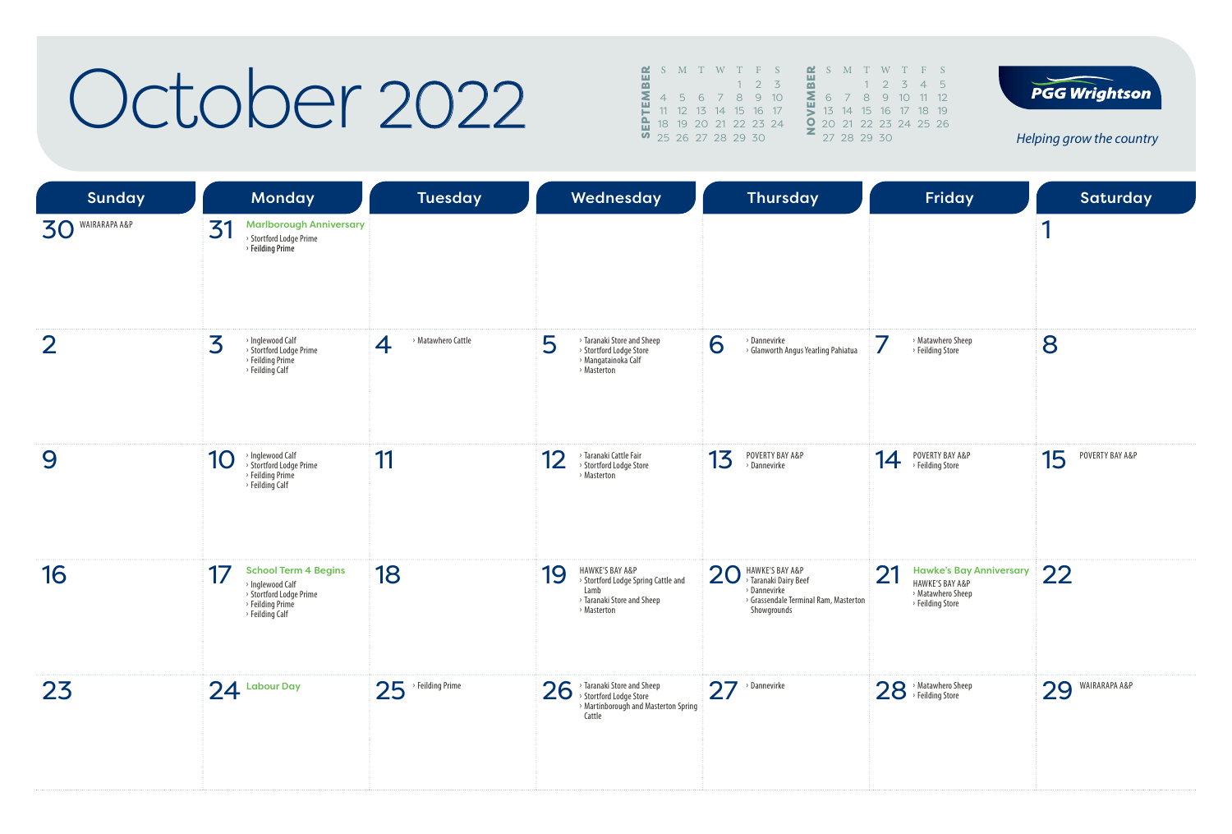#### October 2022

|   |    | S M T W T F S          |  |         |  |   | <b>≃</b> S M    |    |
|---|----|------------------------|--|---------|--|---|-----------------|----|
| മ |    |                        |  | $2^{5}$ |  |   |                 |    |
| Σ |    | 4 5 6 7 8 9 10         |  |         |  | Σ |                 |    |
|   | 11 | 12  13  14  15  16  17 |  |         |  |   | 13 <sup>7</sup> | 14 |
|   | 18 | 19 20 21 22 23 24      |  |         |  | O | 20, 21          |    |
|   |    | 25 26 27 28 29 30      |  |         |  |   | 27 28           |    |
|   |    |                        |  |         |  |   |                 |    |



*Helping grow the country*

**PGG Wrightson** 

| <b>Sunday</b>    | <b>Monday</b>                                                                                                           | <b>Tuesday</b>                       | Wednesday                                                                                                         | <b>Thursday</b>                                                                                                        | Friday                                                                                                      | Saturday              |
|------------------|-------------------------------------------------------------------------------------------------------------------------|--------------------------------------|-------------------------------------------------------------------------------------------------------------------|------------------------------------------------------------------------------------------------------------------------|-------------------------------------------------------------------------------------------------------------|-----------------------|
| 30 WAIRARAPA A&P | <b>Marlborough Anniversary</b><br>31<br>> Stortford Lodge Prime<br>> Feilding Prime                                     |                                      |                                                                                                                   |                                                                                                                        |                                                                                                             | 1                     |
| $\overline{2}$   | 3<br>> Inglewood Calf<br>> Stortford Lodge Prime<br>> Feilding Prime<br>> Feilding Calf                                 | > Matawhero Cattle<br>$\overline{4}$ | > Taranaki Store and Sheep<br>5<br>> Stortford Lodge Store<br>> Mangatainoka Calf<br>> Masterton                  | 6<br>> Dannevirke<br>> Glanworth Angus Yearling Pahiatua                                                               | > Matawhero Sheep<br>> Feilding Store                                                                       | 8                     |
| 9                | > Inglewood Calf<br>> Stortford Lodge Prime<br>10<br>> Feilding Prime<br>> Feilding Calf                                | 11                                   | > Taranaki Cattle Fair<br>12<br>> Stortford Lodge Store<br>> Masterton                                            | POVERTY BAY A&P<br>13<br>> Dannevirke                                                                                  | POVERTY BAY A&P<br>14<br>→ Feilding Store                                                                   | POVERTY BAY A&P<br>15 |
| 16               | <b>School Term 4 Begins</b><br>17<br>> Inglewood Calf<br>> Stortford Lodge Prime<br>> Feilding Prime<br>> Feilding Calf | 18                                   | HAWKE'S BAY A&P<br>19<br>> Stortford Lodge Spring Cattle and<br>Lamb<br>> Taranaki Store and Sheep<br>> Masterton | HAWKE'S BAY A&P<br>> Taranaki Dairy Beef<br>20<br>> Dannevirke<br>> Grassendale Terminal Ram, Masterton<br>Showgrounds | 21<br><b>Hawke's Bay Anniversary</b><br><b>HAWKE'S BAY A&amp;P</b><br>> Matawhero Sheep<br>> Feilding Store | 22                    |
| 23               | $24$ Labour Day                                                                                                         | 25<br>$\rightarrow$ Feilding Prime   | 26<br>> Taranaki Store and Sheep<br>> Stortford Lodge Store<br>> Martinborough and Masterton Spring<br>Cattle     | $27$ <sup>&gt;Dannevirke</sup>                                                                                         | 28 > Matawhero Sheep                                                                                        | 29 WAIRARAPA A&P      |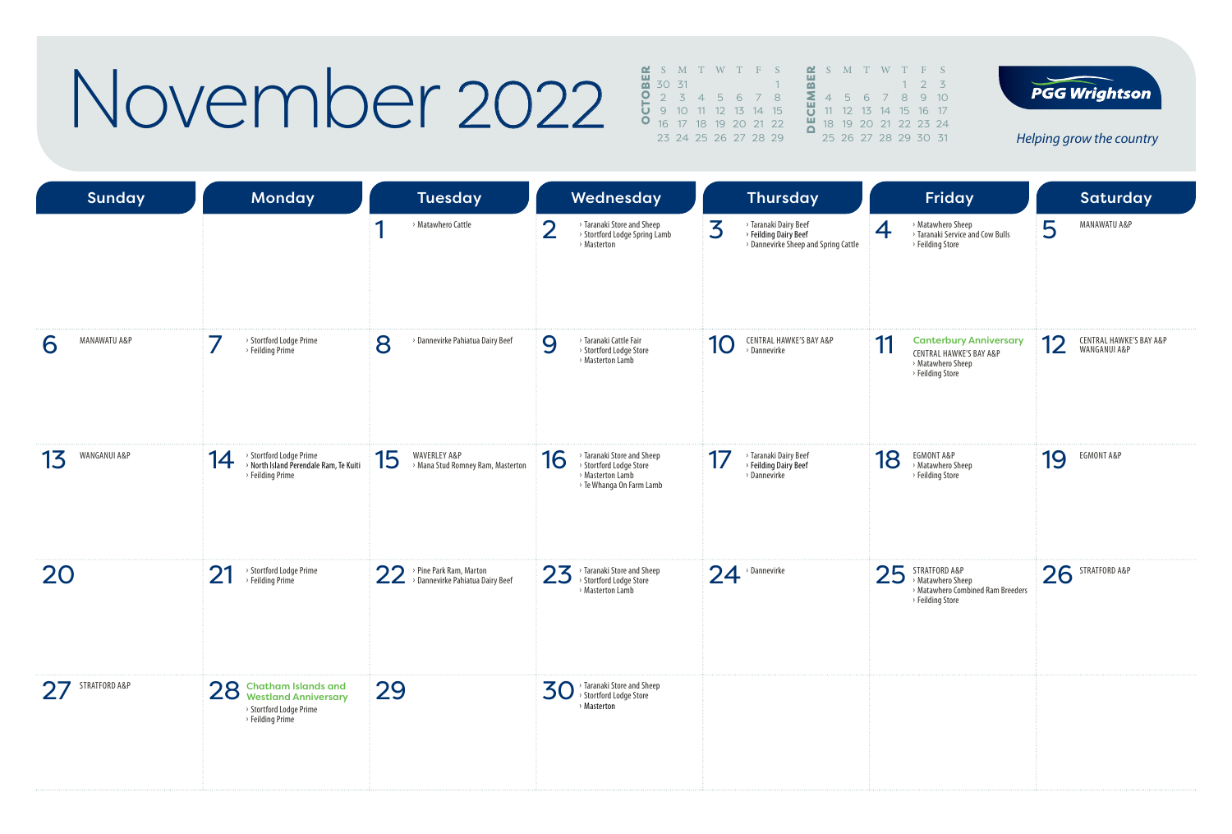### November 2022

|       | S M T W T F S        |  |  |  |    | $\mathbf{C}$ S M T |  |
|-------|----------------------|--|--|--|----|--------------------|--|
| 30 31 |                      |  |  |  | ळ  |                    |  |
|       | 2 3 4 5 6 7 8        |  |  |  | Σ. | 456                |  |
|       | 9 10 11 12 13 14 15  |  |  |  |    | <b>U</b> 11 12 13  |  |
|       | 16 17 18 19 20 21 22 |  |  |  |    | 18 19 20           |  |
|       | 23 24 25 26 27 28 29 |  |  |  |    | 25 26 27 2         |  |



**PGG Wrightson** 

| <b>Sunday</b>      | <b>Monday</b>                                                                                           | <b>Tuesday</b>                                                    | Wednesday                                                                                                   | <b>Thursday</b>                                                                             | Friday                                                                                                             | <b>Saturday</b>                               |
|--------------------|---------------------------------------------------------------------------------------------------------|-------------------------------------------------------------------|-------------------------------------------------------------------------------------------------------------|---------------------------------------------------------------------------------------------|--------------------------------------------------------------------------------------------------------------------|-----------------------------------------------|
|                    |                                                                                                         | ◀<br>> Matawhero Cattle                                           | $\overline{2}$<br>> Taranaki Store and Sheep<br>> Stortford Lodge Spring Lamb<br>> Masterton                | 3<br>> Taranaki Dairy Beef<br>> Feilding Dairy Beef<br>> Dannevirke Sheep and Spring Cattle | > Matawhero Sheep<br>4<br>> Taranaki Service and Cow Bulls<br>> Feilding Store                                     | 5<br>MANAWATU A&P                             |
| MANAWATU A&P<br>6  | > Stortford Lodge Prime<br>> Feilding Prime                                                             | 8<br>> Dannevirke Pahiatua Dairy Beef                             | > Taranaki Cattle Fair<br>9<br>> Stortford Lodge Store<br>> Masterton Lamb                                  | <b>CENTRAL HAWKE'S BAY A&amp;P</b><br>10<br>> Dannevirke                                    | 11<br><b>Canterbury Anniversary</b><br><b>CENTRAL HAWKE'S BAY A&amp;P</b><br>> Matawhero Sheep<br>> Feilding Store | 12<br>CENTRAL HAWKE'S BAY A&P<br>WANGANUI A&P |
| WANGANUI A&P<br>13 | > Stortford Lodge Prime<br>14<br>> North Island Perendale Ram, Te Kuiti<br>$\rightarrow$ Feilding Prime | 15<br>WAVERLEY A&P<br>> Mana Stud Romney Ram, Masterton           | > Taranaki Store and Sheep<br>16<br>> Stortford Lodge Store<br>> Masterton Lamb<br>> Te Whanga On Farm Lamb | > Taranaki Dairy Beef<br>17<br>> Feilding Dairy Beef<br>> Dannevirke                        | EGMONT A&P<br>18<br>> Matawhero Sheep<br>> Feilding Store                                                          | EGMONT A&P<br>19                              |
| 20                 | > Stortford Lodge Prime<br>21<br>> Feilding Prime                                                       | > Pine Park Ram, Marton<br>22<br>> Dannevirke Pahiatua Dairy Beef | > Taranaki Store and Sheep<br>23<br>> Stortford Lodge Store<br>> Masterton Lamb                             | $24$ <sup>, Dannevirke</sup>                                                                | 25<br>STRATFORD A&P<br>> Matawhero Sheep<br>> Matawhero Combined Ram Breeders<br>> Feilding Store                  | STRATFORD A&P<br>26                           |
| 27 STRATFORD A&P   | 28 Chatham Islands and<br>Westland Anniversary<br>> Stortford Lodge Prime<br>> Feilding Prime           | 29                                                                | > Taranaki Store and Sheep<br><b>30</b><br>> Stortford Lodge Store<br>> Masterton                           |                                                                                             |                                                                                                                    |                                               |